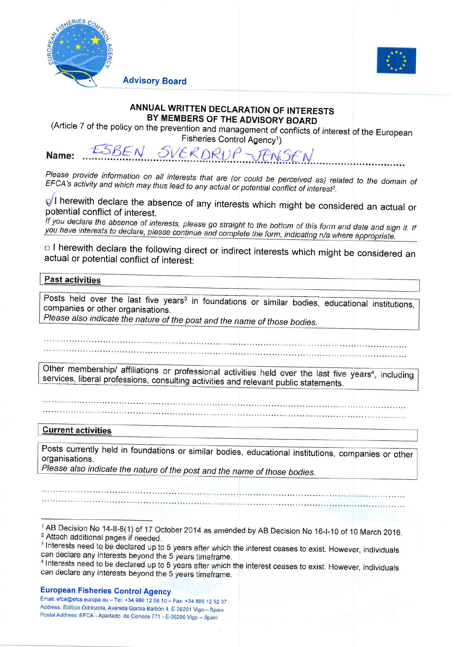

Advisory Board



## ANNUAL WRITTEN DECLARATION OF INTERESTS

(Article 7 of the policy on the prevention and management of conflicts of interest of the European

Fisheries Control Agency<sup>1</sup>)<br>ESBEN SVERDRUP JENSEN Name:

Please provide information on all interests that are (or could be perceived as) related to the domain of<br>EFCA's activity and which may thus lead to any actual or potential conflict of interest². EFCA's activity and which may thus lead to any actual or potential conflict of interest<sup>2</sup>.

 $\mathbb{Q}^f$ l herewith declare the absence of any interests which might be considered an actual or potential conflict of interest.<br>If you declare the absence of interests, please go straight to the bottom of this form and d

you have interests to declare, please continue and complete the form, indicating  $n/a$  where appropriate.<br>  $\Box$  I herewith declare the following direct or indirect interests which might be considered an actual or potential

## **Past activities**

companies or other organisations. Posts held over the last five years<sup>3</sup> in foundations or similar bodies, educational institutions

Please also indicate the nature of the post and the name of those bodies.

Other membership/ affiliations or professional activities held over the last five years<sup>4</sup>, including services, liberal professions, consulting activities and relevant public statements.

## **Current activities**

Posts currently held in foundations or similar bodies, educational institutions, companies or other organisations.

Please also indicate the nature of the post and the name of those bodies.

## European Fisheries Control Agency

Email: efca@efca.europa.eu - Tel: +34 986 12 06 10 - Fax: +34 886 12 52 37<br>Address: Edificio Odriozola, Avenida García Barbón 4, E-36201 Vigo - Spain Postal Address: EFCA - Apartado de Correos 771 - E-36200 Vigo - Spain

<sup>&</sup>lt;sup>1</sup> AB Decision No 14-II-8(1) of 17 October 2014 as amended by AB Decision No 16-I-10 of 10 March 2016. <sup>2</sup> Attach additional pages if needed.

<sup>&</sup>lt;sup>3</sup> Interests need to be declared up to 5 years after which the interest ceases to exist. However, individuals can declare any interests beyond the 5 years timeframe.

<sup>&</sup>lt;sup>4</sup> Interests need to be declared up to 5 years after which the interest ceases to exist. However, individuals can declare any interests bevond the 5 vears timeframe.